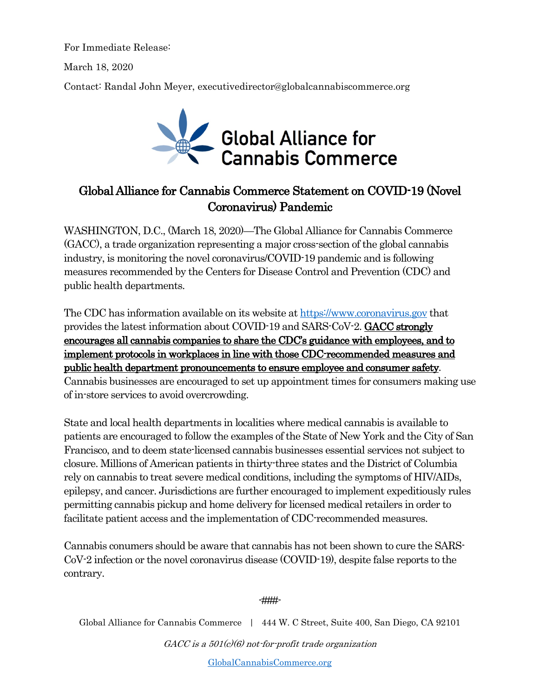For Immediate Release:

March 18, 2020

Contact: Randal John Meyer, executivedirector@globalcannabiscommerce.org



## Global Alliance for Cannabis Commerce Statement on COVID-19 (Novel Coronavirus) Pandemic

WASHINGTON, D.C., (March 18, 2020)—The Global Alliance for Cannabis Commerce (GACC), a trade organization representing a major cross-section of the global cannabis industry, is monitoring the novel coronavirus/COVID-19 pandemic and is following measures recommended by the Centers for Disease Control and Prevention (CDC) and public health departments.

The CDC has information available on its website at https://www.coronavirus.gov that provides the latest information about COVID-19 and SARS-CoV-2. GACC strongly encourages all cannabis companies to share the CDC's guidance with employees, and to implement protocols in workplaces in line with those CDC-recommended measures and public health department pronouncements to ensure employee and consumer safety.

Cannabis businesses are encouraged to set up appointment times for consumers making use of in-store services to avoid overcrowding.

State and local health departments in localities where medical cannabis is available to patients are encouraged to follow the examples of the State of New York and the City of San Francisco, and to deem state-licensed cannabis businesses essential services not subject to closure. Millions of American patients in thirty-three states and the District of Columbia rely on cannabis to treat severe medical conditions, including the symptoms of HIV/AIDs, epilepsy, and cancer. Jurisdictions are further encouraged to implement expeditiously rules permitting cannabis pickup and home delivery for licensed medical retailers in order to facilitate patient access and the implementation of CDC-recommended measures.

Cannabis conumers should be aware that cannabis has not been shown to cure the SARS-CoV-2 infection or the novel coronavirus disease (COVID-19), despite false reports to the contrary.

-###-

Global Alliance for Cannabis Commerce | 444 W. C Street, Suite 400, San Diego, CA 92101  $GACC$  is a  $501(c)(6)$  not-for-profit trade organization

GlobalCannabisCommerce.org